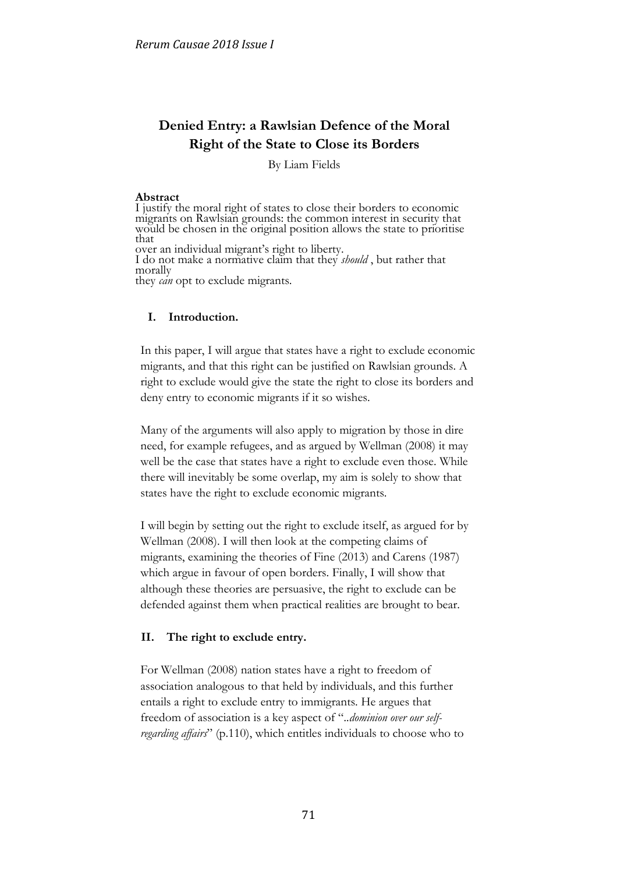# **Denied Entry: a Rawlsian Defence of the Moral Right of the State to Close its Borders**

By Liam Fields

#### **Abstract**

I justify the moral right of states to close their borders to economic migrants on Rawlsian grounds: the common interest in security that would be chosen in the original position allows the state to prioritise that over an individual migrant's right to liberty. I do not make a normative claim that they *should* , but rather that morally they *can* opt to exclude migrants.

# **I. Introduction.**

In this paper, I will argue that states have a right to exclude economic migrants, and that this right can be justified on Rawlsian grounds. A right to exclude would give the state the right to close its borders and deny entry to economic migrants if it so wishes.

Many of the arguments will also apply to migration by those in dire need, for example refugees, and as argued by Wellman (2008) it may well be the case that states have a right to exclude even those. While there will inevitably be some overlap, my aim is solely to show that states have the right to exclude economic migrants.

I will begin by setting out the right to exclude itself, as argued for by Wellman (2008). I will then look at the competing claims of migrants, examining the theories of Fine (2013) and Carens (1987) which argue in favour of open borders. Finally, I will show that although these theories are persuasive, the right to exclude can be defended against them when practical realities are brought to bear.

# **II. The right to exclude entry.**

For Wellman (2008) nation states have a right to freedom of association analogous to that held by individuals, and this further entails a right to exclude entry to immigrants. He argues that freedom of association is a key aspect of "*..dominion over our selfregarding affairs*" (p.110), which entitles individuals to choose who to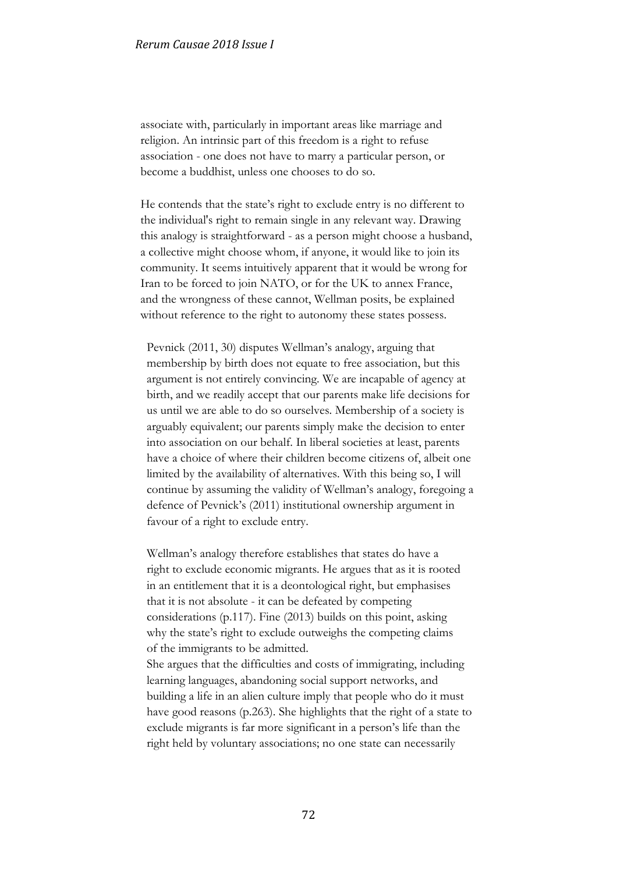associate with, particularly in important areas like marriage and religion. An intrinsic part of this freedom is a right to refuse association - one does not have to marry a particular person, or become a buddhist, unless one chooses to do so.

He contends that the state's right to exclude entry is no different to the individual's right to remain single in any relevant way. Drawing this analogy is straightforward - as a person might choose a husband, a collective might choose whom, if anyone, it would like to join its community. It seems intuitively apparent that it would be wrong for Iran to be forced to join NATO, or for the UK to annex France, and the wrongness of these cannot, Wellman posits, be explained without reference to the right to autonomy these states possess.

Pevnick (2011, 30) disputes Wellman's analogy, arguing that membership by birth does not equate to free association, but this argument is not entirely convincing. We are incapable of agency at birth, and we readily accept that our parents make life decisions for us until we are able to do so ourselves. Membership of a society is arguably equivalent; our parents simply make the decision to enter into association on our behalf. In liberal societies at least, parents have a choice of where their children become citizens of, albeit one limited by the availability of alternatives. With this being so, I will continue by assuming the validity of Wellman's analogy, foregoing a defence of Pevnick's (2011) institutional ownership argument in favour of a right to exclude entry.

Wellman's analogy therefore establishes that states do have a right to exclude economic migrants. He argues that as it is rooted in an entitlement that it is a deontological right, but emphasises that it is not absolute - it can be defeated by competing considerations (p.117). Fine (2013) builds on this point, asking why the state's right to exclude outweighs the competing claims of the immigrants to be admitted.

She argues that the difficulties and costs of immigrating, including learning languages, abandoning social support networks, and building a life in an alien culture imply that people who do it must have good reasons (p.263). She highlights that the right of a state to exclude migrants is far more significant in a person's life than the right held by voluntary associations; no one state can necessarily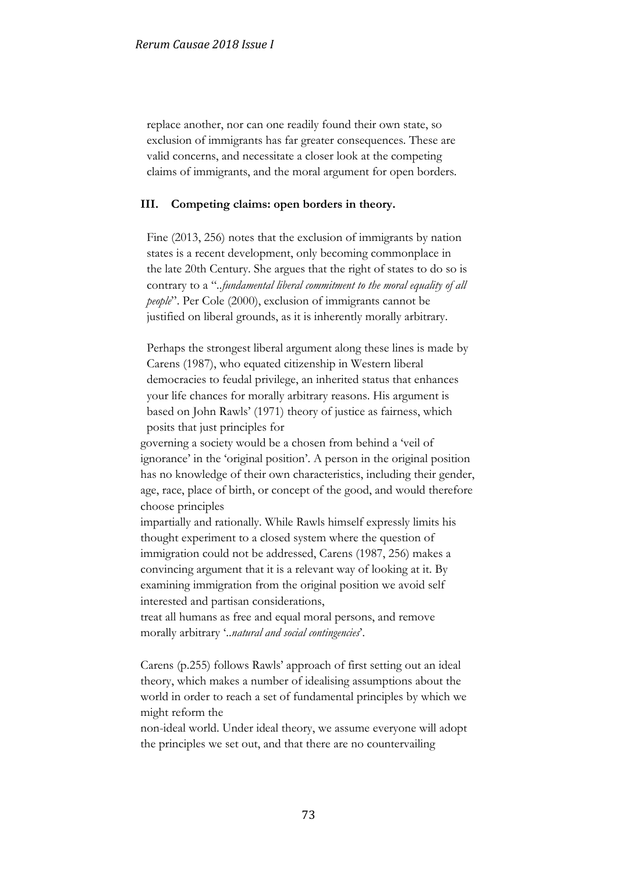replace another, nor can one readily found their own state, so exclusion of immigrants has far greater consequences. These are valid concerns, and necessitate a closer look at the competing claims of immigrants, and the moral argument for open borders.

#### **III. Competing claims: open borders in theory.**

Fine (2013, 256) notes that the exclusion of immigrants by nation states is a recent development, only becoming commonplace in the late 20th Century. She argues that the right of states to do so is contrary to a "*..fundamental liberal commitment to the moral equality of all people*". Per Cole (2000), exclusion of immigrants cannot be justified on liberal grounds, as it is inherently morally arbitrary.

Perhaps the strongest liberal argument along these lines is made by Carens (1987), who equated citizenship in Western liberal democracies to feudal privilege, an inherited status that enhances your life chances for morally arbitrary reasons. His argument is based on John Rawls' (1971) theory of justice as fairness, which posits that just principles for

governing a society would be a chosen from behind a 'veil of ignorance' in the 'original position'. A person in the original position has no knowledge of their own characteristics, including their gender, age, race, place of birth, or concept of the good, and would therefore choose principles

impartially and rationally. While Rawls himself expressly limits his thought experiment to a closed system where the question of immigration could not be addressed, Carens (1987, 256) makes a convincing argument that it is a relevant way of looking at it. By examining immigration from the original position we avoid self interested and partisan considerations,

treat all humans as free and equal moral persons, and remove morally arbitrary '..*natural and social contingencies*'.

Carens (p.255) follows Rawls' approach of first setting out an ideal theory, which makes a number of idealising assumptions about the world in order to reach a set of fundamental principles by which we might reform the

non-ideal world. Under ideal theory, we assume everyone will adopt the principles we set out, and that there are no countervailing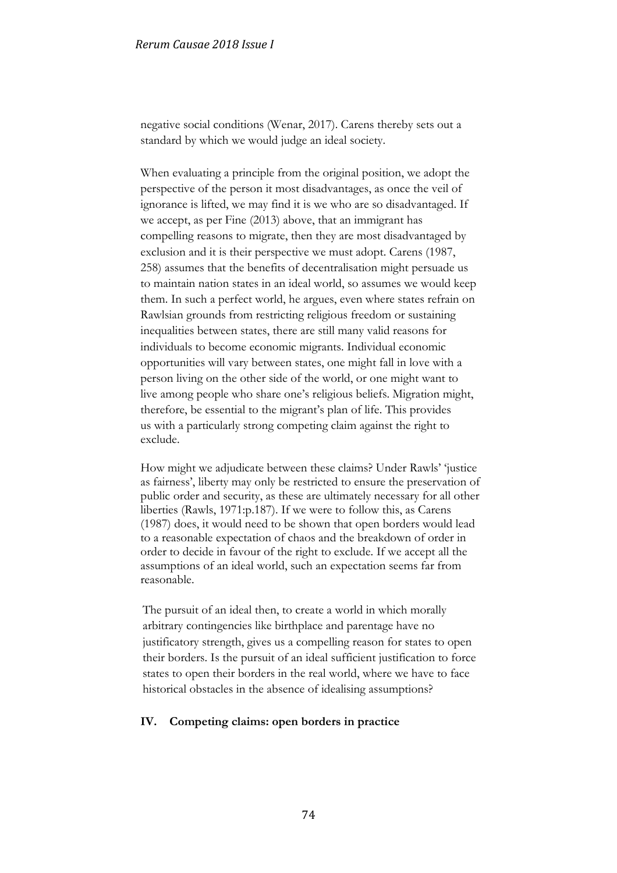negative social conditions (Wenar, 2017). Carens thereby sets out a standard by which we would judge an ideal society.

When evaluating a principle from the original position, we adopt the perspective of the person it most disadvantages, as once the veil of ignorance is lifted, we may find it is we who are so disadvantaged. If we accept, as per Fine (2013) above, that an immigrant has compelling reasons to migrate, then they are most disadvantaged by exclusion and it is their perspective we must adopt. Carens (1987, 258) assumes that the benefits of decentralisation might persuade us to maintain nation states in an ideal world, so assumes we would keep them. In such a perfect world, he argues, even where states refrain on Rawlsian grounds from restricting religious freedom or sustaining inequalities between states, there are still many valid reasons for individuals to become economic migrants. Individual economic opportunities will vary between states, one might fall in love with a person living on the other side of the world, or one might want to live among people who share one's religious beliefs. Migration might, therefore, be essential to the migrant's plan of life. This provides us with a particularly strong competing claim against the right to exclude.

How might we adjudicate between these claims? Under Rawls' 'justice as fairness', liberty may only be restricted to ensure the preservation of public order and security, as these are ultimately necessary for all other liberties (Rawls, 1971:p.187). If we were to follow this, as Carens (1987) does, it would need to be shown that open borders would lead to a reasonable expectation of chaos and the breakdown of order in order to decide in favour of the right to exclude. If we accept all the assumptions of an ideal world, such an expectation seems far from reasonable.

The pursuit of an ideal then, to create a world in which morally arbitrary contingencies like birthplace and parentage have no justificatory strength, gives us a compelling reason for states to open their borders. Is the pursuit of an ideal sufficient justification to force states to open their borders in the real world, where we have to face historical obstacles in the absence of idealising assumptions?

# **IV. Competing claims: open borders in practice**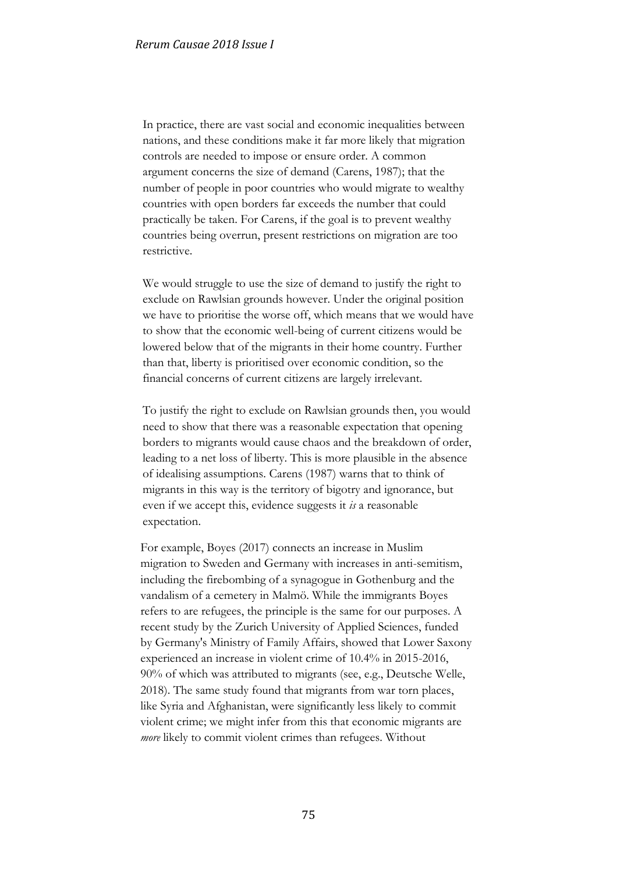In practice, there are vast social and economic inequalities between nations, and these conditions make it far more likely that migration controls are needed to impose or ensure order. A common argument concerns the size of demand (Carens, 1987); that the number of people in poor countries who would migrate to wealthy countries with open borders far exceeds the number that could practically be taken. For Carens, if the goal is to prevent wealthy countries being overrun, present restrictions on migration are too restrictive.

We would struggle to use the size of demand to justify the right to exclude on Rawlsian grounds however. Under the original position we have to prioritise the worse off, which means that we would have to show that the economic well-being of current citizens would be lowered below that of the migrants in their home country. Further than that, liberty is prioritised over economic condition, so the financial concerns of current citizens are largely irrelevant.

To justify the right to exclude on Rawlsian grounds then, you would need to show that there was a reasonable expectation that opening borders to migrants would cause chaos and the breakdown of order, leading to a net loss of liberty. This is more plausible in the absence of idealising assumptions. Carens (1987) warns that to think of migrants in this way is the territory of bigotry and ignorance, but even if we accept this, evidence suggests it *is* a reasonable expectation.

For example, Boyes (2017) connects an increase in Muslim migration to Sweden and Germany with increases in anti-semitism, including the firebombing of a synagogue in Gothenburg and the vandalism of a cemetery in Malmö. While the immigrants Boyes refers to are refugees, the principle is the same for our purposes. A recent study by the Zurich University of Applied Sciences, funded by Germany's Ministry of Family Affairs, showed that Lower Saxony experienced an increase in violent crime of 10.4% in 2015-2016, 90% of which was attributed to migrants (see, e.g., Deutsche Welle, 2018). The same study found that migrants from war torn places, like Syria and Afghanistan, were significantly less likely to commit violent crime; we might infer from this that economic migrants are *more* likely to commit violent crimes than refugees. Without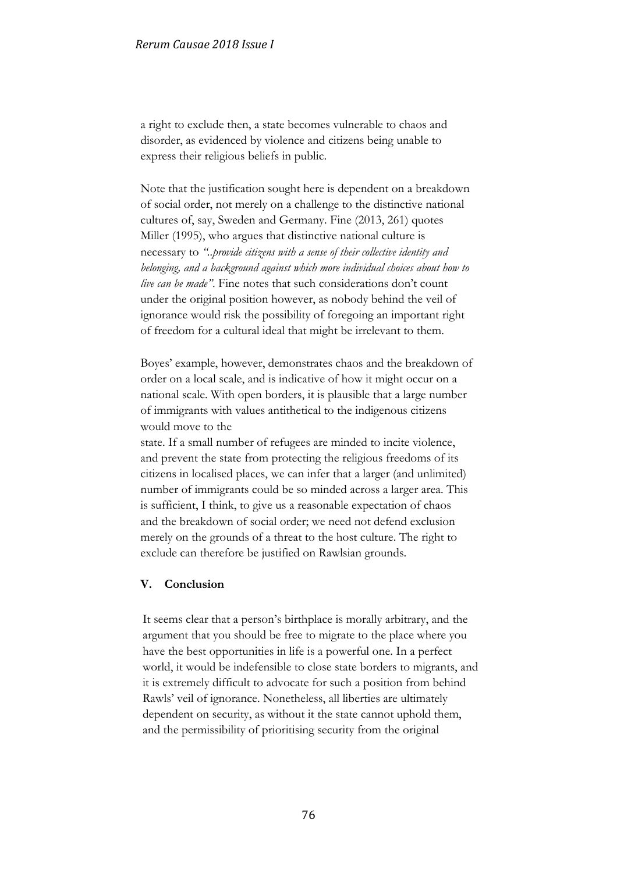a right to exclude then, a state becomes vulnerable to chaos and disorder, as evidenced by violence and citizens being unable to express their religious beliefs in public.

Note that the justification sought here is dependent on a breakdown of social order, not merely on a challenge to the distinctive national cultures of, say, Sweden and Germany. Fine (2013, 261) quotes Miller (1995), who argues that distinctive national culture is necessary to *"..provide citizens with a sense of their collective identity and belonging, and a background against which more individual choices about how to live can be made"*. Fine notes that such considerations don't count under the original position however, as nobody behind the veil of ignorance would risk the possibility of foregoing an important right of freedom for a cultural ideal that might be irrelevant to them.

Boyes' example, however, demonstrates chaos and the breakdown of order on a local scale, and is indicative of how it might occur on a national scale. With open borders, it is plausible that a large number of immigrants with values antithetical to the indigenous citizens would move to the

state. If a small number of refugees are minded to incite violence, and prevent the state from protecting the religious freedoms of its citizens in localised places, we can infer that a larger (and unlimited) number of immigrants could be so minded across a larger area. This is sufficient, I think, to give us a reasonable expectation of chaos and the breakdown of social order; we need not defend exclusion merely on the grounds of a threat to the host culture. The right to exclude can therefore be justified on Rawlsian grounds.

# **V. Conclusion**

It seems clear that a person's birthplace is morally arbitrary, and the argument that you should be free to migrate to the place where you have the best opportunities in life is a powerful one. In a perfect world, it would be indefensible to close state borders to migrants, and it is extremely difficult to advocate for such a position from behind Rawls' veil of ignorance. Nonetheless, all liberties are ultimately dependent on security, as without it the state cannot uphold them, and the permissibility of prioritising security from the original